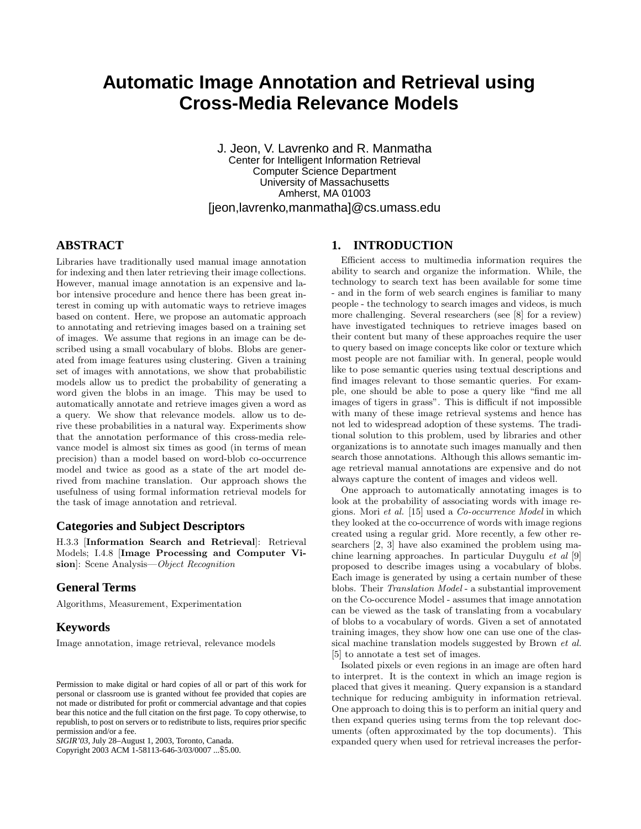# **Automatic Image Annotation and Retrieval using Cross-Media Relevance Models**

J. Jeon, V. Lavrenko and R. Manmatha Center for Intelligent Information Retrieval Computer Science Department University of Massachusetts Amherst, MA 01003 [jeon,lavrenko,manmatha]@cs.umass.edu

## **ABSTRACT**

Libraries have traditionally used manual image annotation for indexing and then later retrieving their image collections. However, manual image annotation is an expensive and labor intensive procedure and hence there has been great interest in coming up with automatic ways to retrieve images based on content. Here, we propose an automatic approach to annotating and retrieving images based on a training set of images. We assume that regions in an image can be described using a small vocabulary of blobs. Blobs are generated from image features using clustering. Given a training set of images with annotations, we show that probabilistic models allow us to predict the probability of generating a word given the blobs in an image. This may be used to automatically annotate and retrieve images given a word as a query. We show that relevance models. allow us to derive these probabilities in a natural way. Experiments show that the annotation performance of this cross-media relevance model is almost six times as good (in terms of mean precision) than a model based on word-blob co-occurrence model and twice as good as a state of the art model derived from machine translation. Our approach shows the usefulness of using formal information retrieval models for the task of image annotation and retrieval.

## **Categories and Subject Descriptors**

H.3.3 [Information Search and Retrieval]: Retrieval Models; I.4.8 [Image Processing and Computer Vision]: Scene Analysis—Object Recognition

## **General Terms**

Algorithms, Measurement, Experimentation

# **Keywords**

Image annotation, image retrieval, relevance models

Copyright 2003 ACM 1-58113-646-3/03/0007 ...\$5.00.

# **1. INTRODUCTION**

Efficient access to multimedia information requires the ability to search and organize the information. While, the technology to search text has been available for some time - and in the form of web search engines is familiar to many people - the technology to search images and videos, is much more challenging. Several researchers (see [8] for a review) have investigated techniques to retrieve images based on their content but many of these approaches require the user to query based on image concepts like color or texture which most people are not familiar with. In general, people would like to pose semantic queries using textual descriptions and find images relevant to those semantic queries. For example, one should be able to pose a query like "find me all images of tigers in grass". This is difficult if not impossible with many of these image retrieval systems and hence has not led to widespread adoption of these systems. The traditional solution to this problem, used by libraries and other organizations is to annotate such images manually and then search those annotations. Although this allows semantic image retrieval manual annotations are expensive and do not always capture the content of images and videos well.

One approach to automatically annotating images is to look at the probability of associating words with image regions. Mori et al. [15] used a Co-occurrence Model in which they looked at the co-occurrence of words with image regions created using a regular grid. More recently, a few other researchers [2, 3] have also examined the problem using machine learning approaches. In particular Duygulu et al [9] proposed to describe images using a vocabulary of blobs. Each image is generated by using a certain number of these blobs. Their Translation Model - a substantial improvement on the Co-occurence Model - assumes that image annotation can be viewed as the task of translating from a vocabulary of blobs to a vocabulary of words. Given a set of annotated training images, they show how one can use one of the classical machine translation models suggested by Brown et al. [5] to annotate a test set of images.

Isolated pixels or even regions in an image are often hard to interpret. It is the context in which an image region is placed that gives it meaning. Query expansion is a standard technique for reducing ambiguity in information retrieval. One approach to doing this is to perform an initial query and then expand queries using terms from the top relevant documents (often approximated by the top documents). This expanded query when used for retrieval increases the perfor-

Permission to make digital or hard copies of all or part of this work for personal or classroom use is granted without fee provided that copies are not made or distributed for profit or commercial advantage and that copies bear this notice and the full citation on the first page. To copy otherwise, to republish, to post on servers or to redistribute to lists, requires prior specific permission and/or a fee.

*SIGIR'03,* July 28–August 1, 2003, Toronto, Canada.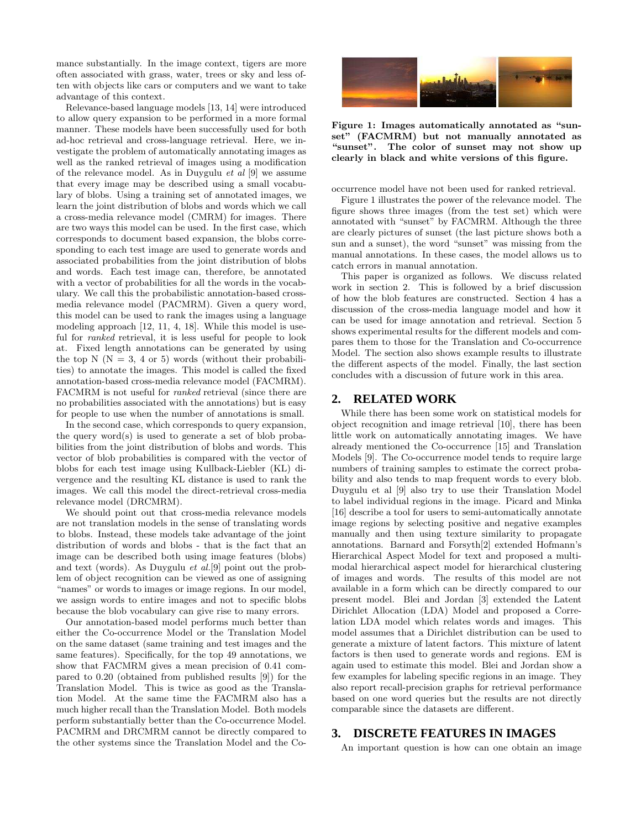mance substantially. In the image context, tigers are more often associated with grass, water, trees or sky and less often with objects like cars or computers and we want to take advantage of this context.

Relevance-based language models [13, 14] were introduced to allow query expansion to be performed in a more formal manner. These models have been successfully used for both ad-hoc retrieval and cross-language retrieval. Here, we investigate the problem of automatically annotating images as well as the ranked retrieval of images using a modification of the relevance model. As in Duygulu  $et \ al \ [9]$  we assume that every image may be described using a small vocabulary of blobs. Using a training set of annotated images, we learn the joint distribution of blobs and words which we call a cross-media relevance model (CMRM) for images. There are two ways this model can be used. In the first case, which corresponds to document based expansion, the blobs corresponding to each test image are used to generate words and associated probabilities from the joint distribution of blobs and words. Each test image can, therefore, be annotated with a vector of probabilities for all the words in the vocabulary. We call this the probabilistic annotation-based crossmedia relevance model (PACMRM). Given a query word, this model can be used to rank the images using a language modeling approach [12, 11, 4, 18]. While this model is useful for ranked retrieval, it is less useful for people to look at. Fixed length annotations can be generated by using the top N ( $N = 3$ , 4 or 5) words (without their probabilities) to annotate the images. This model is called the fixed annotation-based cross-media relevance model (FACMRM). FACMRM is not useful for ranked retrieval (since there are no probabilities associated with the annotations) but is easy for people to use when the number of annotations is small.

In the second case, which corresponds to query expansion, the query word(s) is used to generate a set of blob probabilities from the joint distribution of blobs and words. This vector of blob probabilities is compared with the vector of blobs for each test image using Kullback-Liebler (KL) divergence and the resulting KL distance is used to rank the images. We call this model the direct-retrieval cross-media relevance model (DRCMRM).

We should point out that cross-media relevance models are not translation models in the sense of translating words to blobs. Instead, these models take advantage of the joint distribution of words and blobs - that is the fact that an image can be described both using image features (blobs) and text (words). As Duygulu et al.[9] point out the problem of object recognition can be viewed as one of assigning "names" or words to images or image regions. In our model, we assign words to entire images and not to specific blobs because the blob vocabulary can give rise to many errors.

Our annotation-based model performs much better than either the Co-occurrence Model or the Translation Model on the same dataset (same training and test images and the same features). Specifically, for the top 49 annotations, we show that FACMRM gives a mean precision of 0.41 compared to 0.20 (obtained from published results [9]) for the Translation Model. This is twice as good as the Translation Model. At the same time the FACMRM also has a much higher recall than the Translation Model. Both models perform substantially better than the Co-occurrence Model. PACMRM and DRCMRM cannot be directly compared to the other systems since the Translation Model and the Co-



Figure 1: Images automatically annotated as "sunset" (FACMRM) but not manually annotated as "sunset". The color of sunset may not show up clearly in black and white versions of this figure.

occurrence model have not been used for ranked retrieval.

Figure 1 illustrates the power of the relevance model. The figure shows three images (from the test set) which were annotated with "sunset" by FACMRM. Although the three are clearly pictures of sunset (the last picture shows both a sun and a sunset), the word "sunset" was missing from the manual annotations. In these cases, the model allows us to catch errors in manual annotation.

This paper is organized as follows. We discuss related work in section 2. This is followed by a brief discussion of how the blob features are constructed. Section 4 has a discussion of the cross-media language model and how it can be used for image annotation and retrieval. Section 5 shows experimental results for the different models and compares them to those for the Translation and Co-occurrence Model. The section also shows example results to illustrate the different aspects of the model. Finally, the last section concludes with a discussion of future work in this area.

### **2. RELATED WORK**

While there has been some work on statistical models for object recognition and image retrieval [10], there has been little work on automatically annotating images. We have already mentioned the Co-occurrence [15] and Translation Models [9]. The Co-occurrence model tends to require large numbers of training samples to estimate the correct probability and also tends to map frequent words to every blob. Duygulu et al [9] also try to use their Translation Model to label individual regions in the image. Picard and Minka [16] describe a tool for users to semi-automatically annotate image regions by selecting positive and negative examples manually and then using texture similarity to propagate annotations. Barnard and Forsyth[2] extended Hofmann's Hierarchical Aspect Model for text and proposed a multimodal hierarchical aspect model for hierarchical clustering of images and words. The results of this model are not available in a form which can be directly compared to our present model. Blei and Jordan [3] extended the Latent Dirichlet Allocation (LDA) Model and proposed a Correlation LDA model which relates words and images. This model assumes that a Dirichlet distribution can be used to generate a mixture of latent factors. This mixture of latent factors is then used to generate words and regions. EM is again used to estimate this model. Blei and Jordan show a few examples for labeling specific regions in an image. They also report recall-precision graphs for retrieval performance based on one word queries but the results are not directly comparable since the datasets are different.

# **3. DISCRETE FEATURES IN IMAGES**

An important question is how can one obtain an image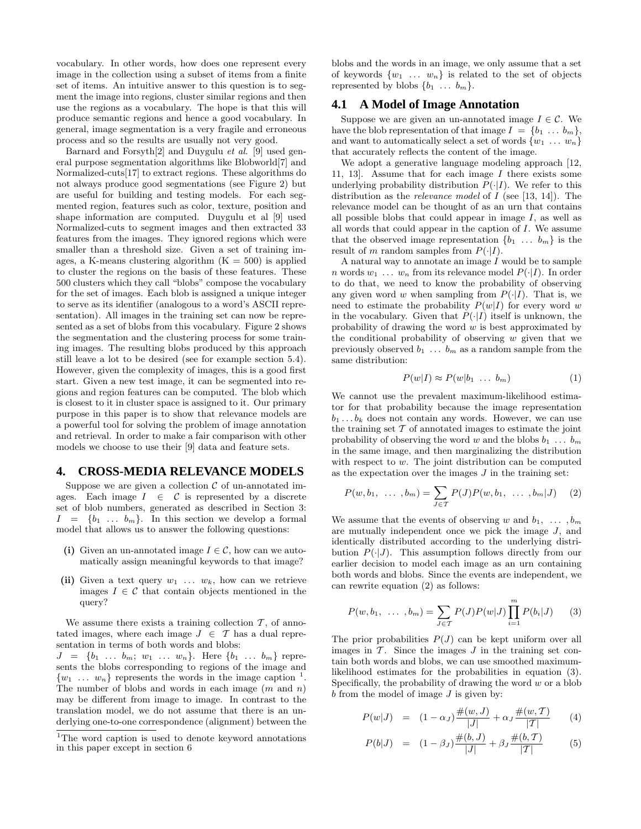vocabulary. In other words, how does one represent every image in the collection using a subset of items from a finite set of items. An intuitive answer to this question is to segment the image into regions, cluster similar regions and then use the regions as a vocabulary. The hope is that this will produce semantic regions and hence a good vocabulary. In general, image segmentation is a very fragile and erroneous process and so the results are usually not very good.

Barnard and Forsyth[2] and Duygulu et al. [9] used general purpose segmentation algorithms like Blobworld[7] and Normalized-cuts[17] to extract regions. These algorithms do not always produce good segmentations (see Figure 2) but are useful for building and testing models. For each segmented region, features such as color, texture, position and shape information are computed. Duygulu et al [9] used Normalized-cuts to segment images and then extracted 33 features from the images. They ignored regions which were smaller than a threshold size. Given a set of training images, a K-means clustering algorithm  $(K = 500)$  is applied to cluster the regions on the basis of these features. These 500 clusters which they call "blobs" compose the vocabulary for the set of images. Each blob is assigned a unique integer to serve as its identifier (analogous to a word's ASCII representation). All images in the training set can now be represented as a set of blobs from this vocabulary. Figure 2 shows the segmentation and the clustering process for some training images. The resulting blobs produced by this approach still leave a lot to be desired (see for example section 5.4). However, given the complexity of images, this is a good first start. Given a new test image, it can be segmented into regions and region features can be computed. The blob which is closest to it in cluster space is assigned to it. Our primary purpose in this paper is to show that relevance models are a powerful tool for solving the problem of image annotation and retrieval. In order to make a fair comparison with other models we choose to use their [9] data and feature sets.

# **4. CROSS-MEDIA RELEVANCE MODELS**

Suppose we are given a collection  $\mathcal C$  of un-annotated images. Each image  $I \in \mathcal{C}$  is represented by a discrete set of blob numbers, generated as described in Section 3:  $I = \{b_1 \ldots b_m\}$ . In this section we develop a formal model that allows us to answer the following questions:

- (i) Given an un-annotated image  $I \in \mathcal{C}$ , how can we automatically assign meaningful keywords to that image?
- (ii) Given a text query  $w_1$ ...  $w_k$ , how can we retrieve images  $I \in \mathcal{C}$  that contain objects mentioned in the query?

We assume there exists a training collection  $\mathcal T$ , of annotated images, where each image  $J \in \mathcal{T}$  has a dual representation in terms of both words and blobs:

 $J = \{b_1 \ldots b_m; w_1 \ldots w_n\}.$  Here  $\{b_1 \ldots b_m\}$  represents the blobs corresponding to regions of the image and  $\{w_1 \ldots w_n\}$  represents the words in the image caption <sup>1</sup>. The number of blobs and words in each image  $(m \text{ and } n)$ may be different from image to image. In contrast to the translation model, we do not assume that there is an underlying one-to-one correspondence (alignment) between the blobs and the words in an image, we only assume that a set of keywords  $\{w_1 \ldots w_n\}$  is related to the set of objects represented by blobs  $\{b_1 \ldots b_m\}$ .

# **4.1 A Model of Image Annotation**

Suppose we are given an un-annotated image  $I \in \mathcal{C}$ . We have the blob representation of that image  $I = \{b_1 \ldots b_m\},\$ and want to automatically select a set of words  $\{w_1 \ldots w_n\}$ that accurately reflects the content of the image.

We adopt a generative language modeling approach [12, 11, 13]. Assume that for each image I there exists some underlying probability distribution  $P(\cdot|I)$ . We refer to this distribution as the *relevance model* of  $I$  (see [13, 14]). The relevance model can be thought of as an urn that contains all possible blobs that could appear in image  $I$ , as well as all words that could appear in the caption of I. We assume that the observed image representation  $\{b_1 \ldots b_m\}$  is the result of m random samples from  $P(\cdot|I)$ .

A natural way to annotate an image  $I$  would be to sample n words  $w_1 \ldots w_n$  from its relevance model  $P(\cdot|I)$ . In order to do that, we need to know the probability of observing any given word w when sampling from  $P(\cdot|I)$ . That is, we need to estimate the probability  $P(w|I)$  for every word w in the vocabulary. Given that  $P(\cdot|I)$  itself is unknown, the probability of drawing the word  $w$  is best approximated by the conditional probability of observing  $w$  given that we previously observed  $b_1 \ldots b_m$  as a random sample from the same distribution:

$$
P(w|I) \approx P(w|b_1 \dots b_m) \tag{1}
$$

We cannot use the prevalent maximum-likelihood estimator for that probability because the image representation  $b_1 \ldots b_k$  does not contain any words. However, we can use the training set  $T$  of annotated images to estimate the joint probability of observing the word w and the blobs  $b_1 \ldots b_m$ in the same image, and then marginalizing the distribution with respect to  $w$ . The joint distribution can be computed as the expectation over the images  $J$  in the training set:

$$
P(w, b_1, \ldots, b_m) = \sum_{J \in \mathcal{T}} P(J) P(w, b_1, \ldots, b_m | J) \quad (2)
$$

We assume that the events of observing w and  $b_1, \ldots, b_m$ are mutually independent once we pick the image  $J$ , and identically distributed according to the underlying distribution  $P(\cdot|J)$ . This assumption follows directly from our earlier decision to model each image as an urn containing both words and blobs. Since the events are independent, we can rewrite equation (2) as follows:

$$
P(w, b_1, \ldots, b_m) = \sum_{J \in \mathcal{T}} P(J) P(w|J) \prod_{i=1}^{m} P(b_i|J) \qquad (3)
$$

The prior probabilities  $P(J)$  can be kept uniform over all images in  $\mathcal T$ . Since the images  $J$  in the training set contain both words and blobs, we can use smoothed maximumlikelihood estimates for the probabilities in equation (3). Specifically, the probability of drawing the word  $w$  or a blob  $b$  from the model of image  $J$  is given by:

$$
P(w|J) = (1 - \alpha_J) \frac{\#(w, J)}{|J|} + \alpha_J \frac{\#(w, T)}{|T|}
$$
 (4)

$$
P(b|J) = (1 - \beta_J) \frac{\#(b, J)}{|J|} + \beta_J \frac{\#(b, T)}{|T|}
$$
 (5)

 $1$ <sup>1</sup>The word caption is used to denote keyword annotations in this paper except in section 6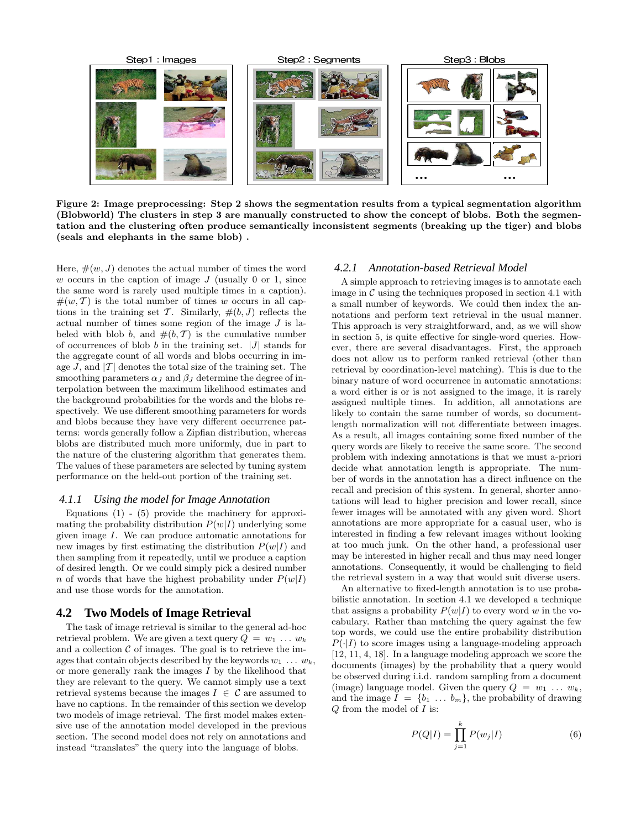

Figure 2: Image preprocessing: Step 2 shows the segmentation results from a typical segmentation algorithm (Blobworld) The clusters in step 3 are manually constructed to show the concept of blobs. Both the segmentation and the clustering often produce semantically inconsistent segments (breaking up the tiger) and blobs (seals and elephants in the same blob) .

Here,  $\#(w, J)$  denotes the actual number of times the word w occurs in the caption of image  $J$  (usually 0 or 1, since the same word is rarely used multiple times in a caption).  $\#(w, \mathcal{T})$  is the total number of times w occurs in all captions in the training set T. Similarly,  $\#(b, J)$  reflects the actual number of times some region of the image J is labeled with blob b, and  $#(b, T)$  is the cumulative number of occurrences of blob  $b$  in the training set.  $|J|$  stands for the aggregate count of all words and blobs occurring in image J, and  $|T|$  denotes the total size of the training set. The smoothing parameters  $\alpha_J$  and  $\beta_J$  determine the degree of interpolation between the maximum likelihood estimates and the background probabilities for the words and the blobs respectively. We use different smoothing parameters for words and blobs because they have very different occurrence patterns: words generally follow a Zipfian distribution, whereas blobs are distributed much more uniformly, due in part to the nature of the clustering algorithm that generates them. The values of these parameters are selected by tuning system performance on the held-out portion of the training set.

#### *4.1.1 Using the model for Image Annotation*

Equations  $(1)$  -  $(5)$  provide the machinery for approximating the probability distribution  $P(w|I)$  underlying some given image I. We can produce automatic annotations for new images by first estimating the distribution  $P(w|I)$  and then sampling from it repeatedly, until we produce a caption of desired length. Or we could simply pick a desired number n of words that have the highest probability under  $P(w|I)$ and use those words for the annotation.

#### **4.2 Two Models of Image Retrieval**

The task of image retrieval is similar to the general ad-hoc retrieval problem. We are given a text query  $Q = w_1 \ldots w_k$ and a collection  $\mathcal C$  of images. The goal is to retrieve the images that contain objects described by the keywords  $w_1 \ldots w_k$ , or more generally rank the images I by the likelihood that they are relevant to the query. We cannot simply use a text retrieval systems because the images  $I \in \mathcal{C}$  are assumed to have no captions. In the remainder of this section we develop two models of image retrieval. The first model makes extensive use of the annotation model developed in the previous section. The second model does not rely on annotations and instead "translates" the query into the language of blobs.

#### *4.2.1 Annotation-based Retrieval Model*

A simple approach to retrieving images is to annotate each image in  $\mathcal C$  using the techniques proposed in section 4.1 with a small number of keywords. We could then index the annotations and perform text retrieval in the usual manner. This approach is very straightforward, and, as we will show in section 5, is quite effective for single-word queries. However, there are several disadvantages. First, the approach does not allow us to perform ranked retrieval (other than retrieval by coordination-level matching). This is due to the binary nature of word occurrence in automatic annotations: a word either is or is not assigned to the image, it is rarely assigned multiple times. In addition, all annotations are likely to contain the same number of words, so documentlength normalization will not differentiate between images. As a result, all images containing some fixed number of the query words are likely to receive the same score. The second problem with indexing annotations is that we must a-priori decide what annotation length is appropriate. The number of words in the annotation has a direct influence on the recall and precision of this system. In general, shorter annotations will lead to higher precision and lower recall, since fewer images will be annotated with any given word. Short annotations are more appropriate for a casual user, who is interested in finding a few relevant images without looking at too much junk. On the other hand, a professional user may be interested in higher recall and thus may need longer annotations. Consequently, it would be challenging to field the retrieval system in a way that would suit diverse users.

An alternative to fixed-length annotation is to use probabilistic annotation. In section 4.1 we developed a technique that assigns a probability  $P(w|I)$  to every word w in the vocabulary. Rather than matching the query against the few top words, we could use the entire probability distribution  $P(\cdot|I)$  to score images using a language-modeling approach [12, 11, 4, 18]. In a language modeling approach we score the documents (images) by the probability that a query would be observed during i.i.d. random sampling from a document (image) language model. Given the query  $Q = w_1 \ldots w_k$ , and the image  $I = \{b_1 \ldots b_m\}$ , the probability of drawing  $Q$  from the model of  $I$  is:

$$
P(Q|I) = \prod_{j=1}^{k} P(w_j|I)
$$
 (6)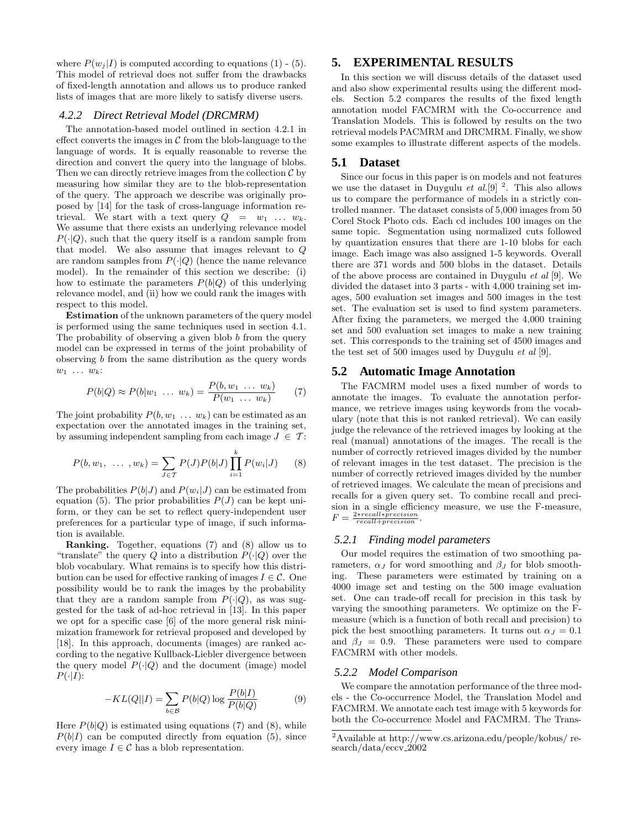where  $P(w_i | I)$  is computed according to equations (1) - (5). This model of retrieval does not suffer from the drawbacks of fixed-length annotation and allows us to produce ranked lists of images that are more likely to satisfy diverse users.

#### *4.2.2 Direct Retrieval Model (DRCMRM)*

The annotation-based model outlined in section 4.2.1 in effect converts the images in  $\mathcal C$  from the blob-language to the language of words. It is equally reasonable to reverse the direction and convert the query into the language of blobs. Then we can directly retrieve images from the collection  $\mathcal C$  by measuring how similar they are to the blob-representation of the query. The approach we describe was originally proposed by [14] for the task of cross-language information retrieval. We start with a text query  $Q = w_1 \dots w_k$ . We assume that there exists an underlying relevance model  $P(\cdot|Q)$ , such that the query itself is a random sample from that model. We also assume that images relevant to Q are random samples from  $P(\cdot|Q)$  (hence the name relevance model). In the remainder of this section we describe: (i) how to estimate the parameters  $P(b|Q)$  of this underlying relevance model, and (ii) how we could rank the images with respect to this model.

Estimation of the unknown parameters of the query model is performed using the same techniques used in section 4.1. The probability of observing a given blob  $b$  from the query model can be expressed in terms of the joint probability of observing b from the same distribution as the query words  $w_1 \ldots w_k$ :

$$
P(b|Q) \approx P(b|w_1 \dots w_k) = \frac{P(b, w_1 \dots w_k)}{P(w_1 \dots w_k)} \qquad (7)
$$

The joint probability  $P(b, w_1 \ldots w_k)$  can be estimated as an expectation over the annotated images in the training set, by assuming independent sampling from each image  $J \in \mathcal{T}$ :

$$
P(b, w_1, \ldots, w_k) = \sum_{J \in \mathcal{T}} P(J) P(b|J) \prod_{i=1}^{k} P(w_i|J) \qquad (8)
$$

The probabilities  $P(b|J)$  and  $P(w_i|J)$  can be estimated from equation (5). The prior probabilities  $P(J)$  can be kept uniform, or they can be set to reflect query-independent user preferences for a particular type of image, if such information is available.

Ranking. Together, equations (7) and (8) allow us to "translate" the query Q into a distribution  $P(\cdot|Q)$  over the blob vocabulary. What remains is to specify how this distribution can be used for effective ranking of images  $I \in \mathcal{C}$ . One possibility would be to rank the images by the probability that they are a random sample from  $P(\cdot|Q)$ , as was suggested for the task of ad-hoc retrieval in [13]. In this paper we opt for a specific case [6] of the more general risk minimization framework for retrieval proposed and developed by [18]. In this approach, documents (images) are ranked according to the negative Kullback-Liebler divergence between the query model  $P(\cdot|Q)$  and the document (image) model  $P(\cdot|I)$ :

$$
-KL(Q||I) = \sum_{b \in \mathcal{B}} P(b|Q) \log \frac{P(b|I)}{P(b|Q)}\tag{9}
$$

Here  $P(b|Q)$  is estimated using equations (7) and (8), while  $P(b|I)$  can be computed directly from equation (5), since every image  $I \in \mathcal{C}$  has a blob representation.

## **5. EXPERIMENTAL RESULTS**

In this section we will discuss details of the dataset used and also show experimental results using the different models. Section 5.2 compares the results of the fixed length annotation model FACMRM with the Co-occurrence and Translation Models. This is followed by results on the two retrieval models PACMRM and DRCMRM. Finally, we show some examples to illustrate different aspects of the models.

#### **5.1 Dataset**

Since our focus in this paper is on models and not features we use the dataset in Duygulu *et al.* [9]  $\frac{2}{s}$ . This also allows us to compare the performance of models in a strictly controlled manner. The dataset consists of 5,000 images from 50 Corel Stock Photo cds. Each cd includes 100 images on the same topic. Segmentation using normalized cuts followed by quantization ensures that there are 1-10 blobs for each image. Each image was also assigned 1-5 keywords. Overall there are 371 words and 500 blobs in the dataset. Details of the above process are contained in Duygulu et al [9]. We divided the dataset into 3 parts - with 4,000 training set images, 500 evaluation set images and 500 images in the test set. The evaluation set is used to find system parameters. After fixing the parameters, we merged the 4,000 training set and 500 evaluation set images to make a new training set. This corresponds to the training set of 4500 images and the test set of 500 images used by Duygulu et al [9].

#### **5.2 Automatic Image Annotation**

The FACMRM model uses a fixed number of words to annotate the images. To evaluate the annotation performance, we retrieve images using keywords from the vocabulary (note that this is not ranked retrieval). We can easily judge the relevance of the retrieved images by looking at the real (manual) annotations of the images. The recall is the number of correctly retrieved images divided by the number of relevant images in the test dataset. The precision is the number of correctly retrieved images divided by the number of retrieved images. We calculate the mean of precisions and recalls for a given query set. To combine recall and precision in a single efficiency measure, we use the F-measure,  $F = \frac{2*recall*precision}{recall+precision}.$ 

#### *5.2.1 Finding model parameters*

Our model requires the estimation of two smoothing parameters,  $\alpha_J$  for word smoothing and  $\beta_J$  for blob smoothing. These parameters were estimated by training on a 4000 image set and testing on the 500 image evaluation set. One can trade-off recall for precision in this task by varying the smoothing parameters. We optimize on the Fmeasure (which is a function of both recall and precision) to pick the best smoothing parameters. It turns out  $\alpha_J = 0.1$ and  $\beta_J = 0.9$ . These parameters were used to compare FACMRM with other models.

#### *5.2.2 Model Comparison*

We compare the annotation performance of the three models - the Co-occurrence Model, the Translation Model and FACMRM. We annotate each test image with 5 keywords for both the Co-occurrence Model and FACMRM. The Trans-

<sup>2</sup>Available at http://www.cs.arizona.edu/people/kobus/ research/data/eccv 2002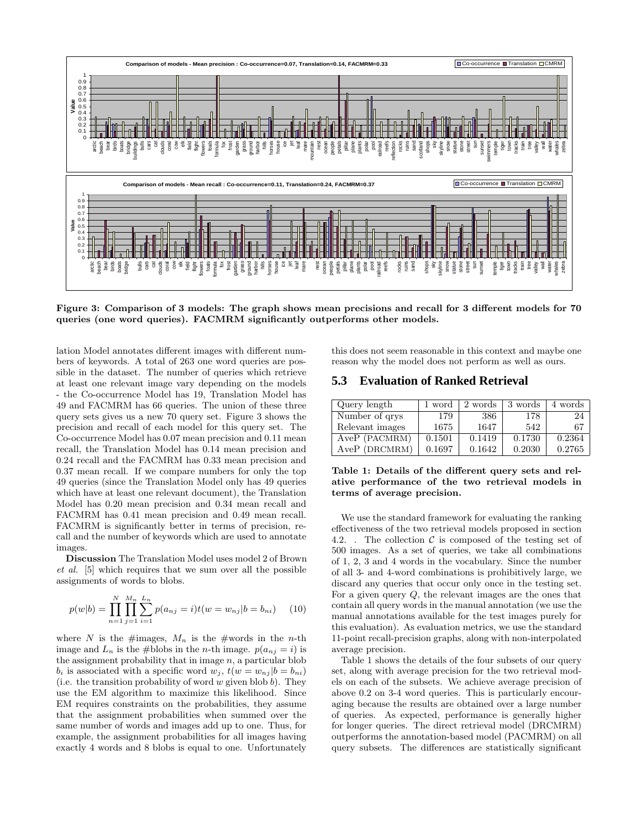

Figure 3: Comparison of 3 models: The graph shows mean precisions and recall for 3 different models for 70 queries (one word queries). FACMRM significantly outperforms other models.

lation Model annotates different images with different numbers of keywords. A total of 263 one word queries are possible in the dataset. The number of queries which retrieve at least one relevant image vary depending on the models - the Co-occurrence Model has 19, Translation Model has 49 and FACMRM has 66 queries. The union of these three query sets gives us a new 70 query set. Figure 3 shows the precision and recall of each model for this query set. The Co-occurrence Model has 0.07 mean precision and 0.11 mean recall, the Translation Model has 0.14 mean precision and 0.24 recall and the FACMRM has 0.33 mean precision and 0.37 mean recall. If we compare numbers for only the top 49 queries (since the Translation Model only has 49 queries which have at least one relevant document), the Translation Model has 0.20 mean precision and 0.34 mean recall and FACMRM has 0.41 mean precision and 0.49 mean recall. FACMRM is significantly better in terms of precision, recall and the number of keywords which are used to annotate images.

Discussion The Translation Model uses model 2 of Brown et al. [5] which requires that we sum over all the possible assignments of words to blobs.

$$
p(w|b) = \prod_{n=1}^{N} \prod_{j=1}^{M_n} \sum_{i=1}^{L_n} p(a_{nj} = i) t(w = w_{nj}|b = b_{ni}) \quad (10)
$$

where N is the #images,  $M_n$  is the #words in the n-th image and  $L_n$  is the #blobs in the *n*-th image.  $p(a_{nj} = i)$  is the assignment probability that in image  $n$ , a particular blob  $b_i$  is associated with a specific word  $w_i$ ,  $t(w = w_{ni} | b = b_{ni})$ (i.e. the transition probability of word  $w$  given blob  $b$ ). They use the EM algorithm to maximize this likelihood. Since EM requires constraints on the probabilities, they assume that the assignment probabilities when summed over the same number of words and images add up to one. Thus, for example, the assignment probabilities for all images having exactly 4 words and 8 blobs is equal to one. Unfortunately

this does not seem reasonable in this context and maybe one reason why the model does not perform as well as ours.

## **5.3 Evaluation of Ranked Retrieval**

| Query length    | 1 word | 2 words | 3 words | 4 words |
|-----------------|--------|---------|---------|---------|
| Number of qrys  | 179    | 386     | 178     | 24      |
| Relevant images | 1675   | 1647    | 542     | 67      |
| AveP (PACMRM)   | 0.1501 | 0.1419  | 0.1730  | 0.2364  |
| AveP (DRCMRM)   | 0.1697 | 0.1642  | 0.2030  | 0.2765  |

Table 1: Details of the different query sets and relative performance of the two retrieval models in terms of average precision.

We use the standard framework for evaluating the ranking effectiveness of the two retrieval models proposed in section 4.2. . The collection  $\mathcal C$  is composed of the testing set of 500 images. As a set of queries, we take all combinations of 1, 2, 3 and 4 words in the vocabulary. Since the number of all 3- and 4-word combinations is prohibitively large, we discard any queries that occur only once in the testing set. For a given query Q, the relevant images are the ones that contain all query words in the manual annotation (we use the manual annotations available for the test images purely for this evaluation). As evaluation metrics, we use the standard 11-point recall-precision graphs, along with non-interpolated average precision.

Table 1 shows the details of the four subsets of our query set, along with average precision for the two retrieval models on each of the subsets. We achieve average precision of above 0.2 on 3-4 word queries. This is particularly encouraging because the results are obtained over a large number of queries. As expected, performance is generally higher for longer queries. The direct retrieval model (DRCMRM) outperforms the annotation-based model (PACMRM) on all query subsets. The differences are statistically significant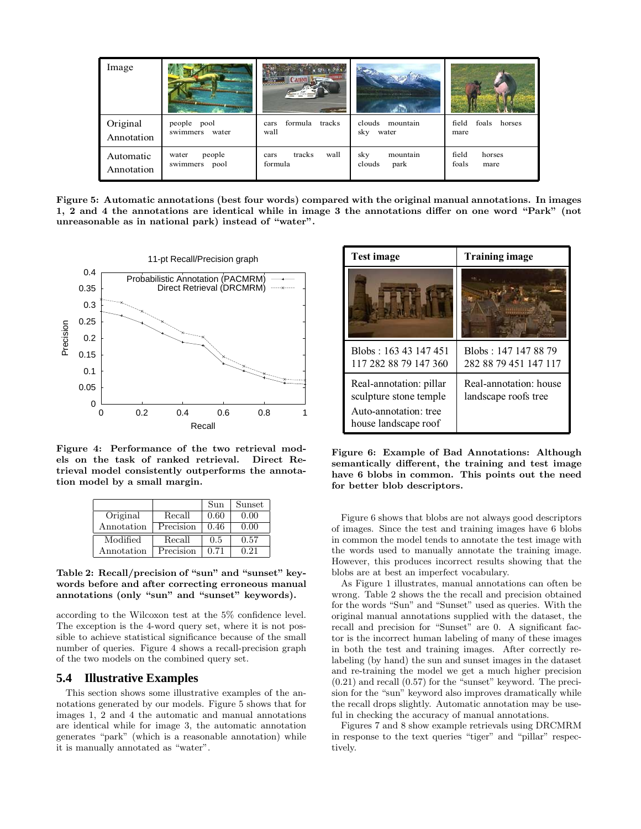| Image                   |                                  | Canon <b>A</b><br><b>WARRANTEE</b> |                                   |                                  |
|-------------------------|----------------------------------|------------------------------------|-----------------------------------|----------------------------------|
| Original<br>Annotation  | people pool<br>swimmers water    | formula tracks<br>cars<br>wall     | clouds mountain<br>sky<br>water   | foals horses<br>field<br>mare    |
| Automatic<br>Annotation | people<br>water<br>swimmers pool | wall<br>tracks<br>cars<br>formula  | mountain<br>sky<br>clouds<br>park | field<br>horses<br>foals<br>mare |

Figure 5: Automatic annotations (best four words) compared with the original manual annotations. In images 1, 2 and 4 the annotations are identical while in image 3 the annotations differ on one word "Park" (not unreasonable as in national park) instead of "water".



Figure 4: Performance of the two retrieval models on the task of ranked retrieval. Direct Retrieval model consistently outperforms the annotation model by a small margin.

|            |           | Sun  | Sunset |
|------------|-----------|------|--------|
| Original   | Recall    | 0.60 | 0.00   |
| Annotation | Precision | 0.46 | 0.00   |
| Modified   | Recall    | 0.5  | 0.57   |
| Annotation | Precision | 0.71 | በ 21   |

#### Table 2: Recall/precision of "sun" and "sunset" keywords before and after correcting erroneous manual annotations (only "sun" and "sunset" keywords).

according to the Wilcoxon test at the 5% confidence level. The exception is the 4-word query set, where it is not possible to achieve statistical significance because of the small number of queries. Figure 4 shows a recall-precision graph of the two models on the combined query set.

## **5.4 Illustrative Examples**

This section shows some illustrative examples of the annotations generated by our models. Figure 5 shows that for images 1, 2 and 4 the automatic and manual annotations are identical while for image 3, the automatic annotation generates "park" (which is a reasonable annotation) while it is manually annotated as "water".

| <b>Test image</b>                                                          | <b>Training image</b>                          |  |
|----------------------------------------------------------------------------|------------------------------------------------|--|
|                                                                            |                                                |  |
| Blobs: 163 43 147 451<br>117 282 88 79 147 360                             | Blobs: 147 147 88 79<br>282 88 79 451 147 117  |  |
| Real-annotation: pillar<br>sculpture stone temple<br>Auto-annotation: tree | Real-annotation: house<br>landscape roofs tree |  |
| house landscape roof                                                       |                                                |  |

Figure 6: Example of Bad Annotations: Although semantically different, the training and test image have 6 blobs in common. This points out the need for better blob descriptors.

Figure 6 shows that blobs are not always good descriptors of images. Since the test and training images have 6 blobs in common the model tends to annotate the test image with the words used to manually annotate the training image. However, this produces incorrect results showing that the blobs are at best an imperfect vocabulary.

As Figure 1 illustrates, manual annotations can often be wrong. Table 2 shows the the recall and precision obtained for the words "Sun" and "Sunset" used as queries. With the original manual annotations supplied with the dataset, the recall and precision for "Sunset" are 0. A significant factor is the incorrect human labeling of many of these images in both the test and training images. After correctly relabeling (by hand) the sun and sunset images in the dataset and re-training the model we get a much higher precision (0.21) and recall (0.57) for the "sunset" keyword. The precision for the "sun" keyword also improves dramatically while the recall drops slightly. Automatic annotation may be useful in checking the accuracy of manual annotations.

Figures 7 and 8 show example retrievals using DRCMRM in response to the text queries "tiger" and "pillar" respectively.